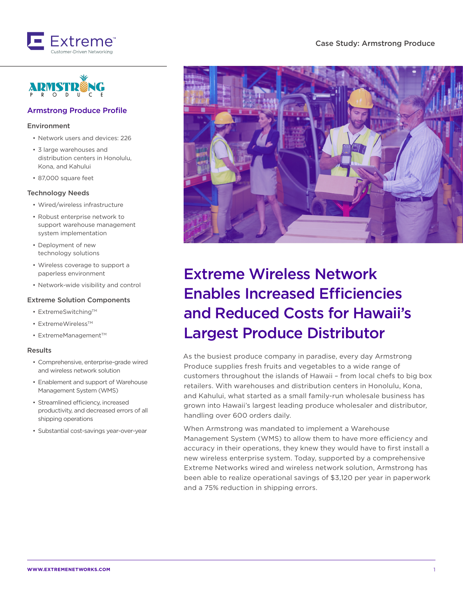



### Armstrong Produce Profile

#### Environment

- Network users and devices: 226
- 3 large warehouses and distribution centers in Honolulu, Kona, and Kahului
- 87,000 square feet

#### Technology Needs

- Wired/wireless infrastructure
- Robust enterprise network to support warehouse management system implementation
- Deployment of new technology solutions
- Wireless coverage to support a paperless environment
- Network-wide visibility and control

#### Extreme Solution Components

- ExtremeSwitching<sup>TM</sup>
- ExtremeWireless<sup>TM</sup>
- ExtremeManagement™

#### Results

- Comprehensive, enterprise-grade wired and wireless network solution
- Enablement and support of Warehouse Management System (WMS)
- Streamlined efficiency, increased productivity, and decreased errors of all shipping operations
- Substantial cost-savings year-over-year



# Extreme Wireless Network Enables Increased Efficiencies and Reduced Costs for Hawaii's Largest Produce Distributor

As the busiest produce company in paradise, every day Armstrong Produce supplies fresh fruits and vegetables to a wide range of customers throughout the islands of Hawaii – from local chefs to big box retailers. With warehouses and distribution centers in Honolulu, Kona, and Kahului, what started as a small family-run wholesale business has grown into Hawaii's largest leading produce wholesaler and distributor, handling over 600 orders daily.

When Armstrong was mandated to implement a Warehouse Management System (WMS) to allow them to have more efficiency and accuracy in their operations, they knew they would have to first install a new wireless enterprise system. Today, supported by a comprehensive Extreme Networks wired and wireless network solution, Armstrong has been able to realize operational savings of \$3,120 per year in paperwork and a 75% reduction in shipping errors.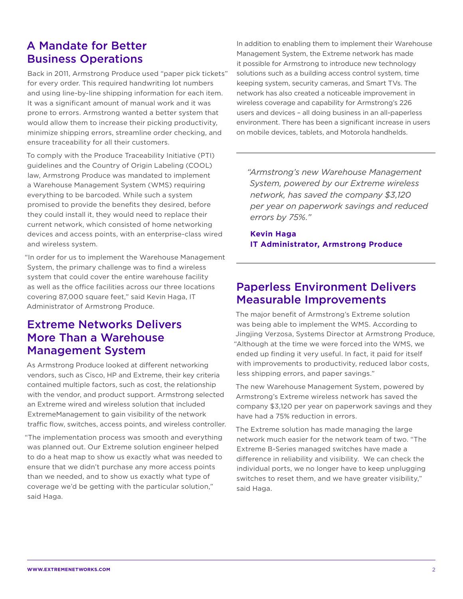## A Mandate for Better Business Operations

Back in 2011, Armstrong Produce used "paper pick tickets" for every order. This required handwriting lot numbers and using line-by-line shipping information for each item. It was a significant amount of manual work and it was prone to errors. Armstrong wanted a better system that would allow them to increase their picking productivity, minimize shipping errors, streamline order checking, and ensure traceability for all their customers.

To comply with the Produce Traceability Initiative (PTI) guidelines and the Country of Origin Labeling (COOL) law, Armstrong Produce was mandated to implement a Warehouse Management System (WMS) requiring everything to be barcoded. While such a system promised to provide the benefits they desired, before they could install it, they would need to replace their current network, which consisted of home networking devices and access points, with an enterprise-class wired and wireless system.

"In order for us to implement the Warehouse Management System, the primary challenge was to find a wireless system that could cover the entire warehouse facility as well as the office facilities across our three locations covering 87,000 square feet," said Kevin Haga, IT Administrator of Armstrong Produce.

## Extreme Networks Delivers More Than a Warehouse Management System

As Armstrong Produce looked at different networking vendors, such as Cisco, HP and Extreme, their key criteria contained multiple factors, such as cost, the relationship with the vendor, and product support. Armstrong selected an Extreme wired and wireless solution that included ExtremeManagement to gain visibility of the network traffic flow, switches, access points, and wireless controller.

"The implementation process was smooth and everything was planned out. Our Extreme solution engineer helped to do a heat map to show us exactly what was needed to ensure that we didn't purchase any more access points than we needed, and to show us exactly what type of coverage we'd be getting with the particular solution," said Haga.

In addition to enabling them to implement their Warehouse Management System, the Extreme network has made it possible for Armstrong to introduce new technology solutions such as a building access control system, time keeping system, security cameras, and Smart TVs. The network has also created a noticeable improvement in wireless coverage and capability for Armstrong's 226 users and devices – all doing business in an all-paperless environment. There has been a significant increase in users on mobile devices, tablets, and Motorola handhelds.

*"Armstrong's new Warehouse Management System, powered by our Extreme wireless network, has saved the company \$3,120 per year on paperwork savings and reduced errors by 75%."*

**Kevin Haga IT Administrator, Armstrong Produce**

### Paperless Environment Delivers Measurable Improvements

The major benefit of Armstrong's Extreme solution was being able to implement the WMS. According to Jingjing Verzosa, Systems Director at Armstrong Produce, "Although at the time we were forced into the WMS, we ended up finding it very useful. In fact, it paid for itself with improvements to productivity, reduced labor costs. less shipping errors, and paper savings."

The new Warehouse Management System, powered by Armstrong's Extreme wireless network has saved the company \$3,120 per year on paperwork savings and they have had a 75% reduction in errors.

The Extreme solution has made managing the large network much easier for the network team of two. "The Extreme B-Series managed switches have made a difference in reliability and visibility. We can check the individual ports, we no longer have to keep unplugging switches to reset them, and we have greater visibility," said Haga.